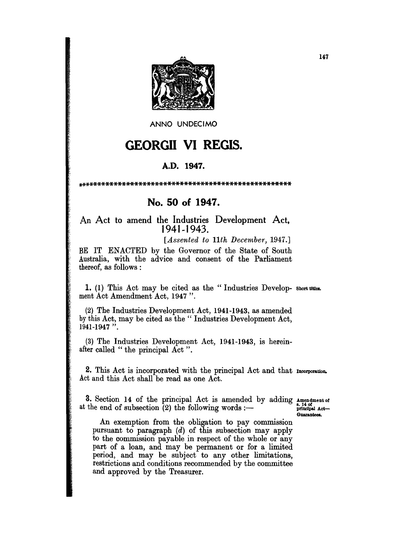

ANNO UNDECIMO

## **GEORGII VI REGIS.**

## A.D. 1947.

## No. 50 of 1947.

An Act to amend the Industries Development Act, 1941-1943.

[Assented to 11th December, 1947.]

BE IT ENACTED by the Governor of the State of South Australia, with the advice and consent of the Parliament thereof, as follows:

1. (1) This Act may be cited as the "Industries Develop- short titles. ment Act Amendment Act, 1947".

(2) The Industries Development Act, 1941-1943, as amended by this Act, may be cited as the "Industries Development Act, 1941-1947".

(3) The Industries Development Act, 1941-1943, is hereinafter called "the principal Act".

2. This Act is incorporated with the principal Act and that Incorporation. Act and this Act shall be read as one Act.

3. Section 14 of the principal Act is amended by adding Amendment of at the end of subsection  $(2)$  the following words :-

s. 14 of<br>principal Act-Guarantees.

An exemption from the obligation to pay commission pursuant to paragraph  $(d)$  of this subsection may apply to the commission payable in respect of the whole or any part of a loan, and may be permanent or for a limited period, and may be subject to any other limitations, restrictions and conditions recommended by the committee and approved by the Treasurer.